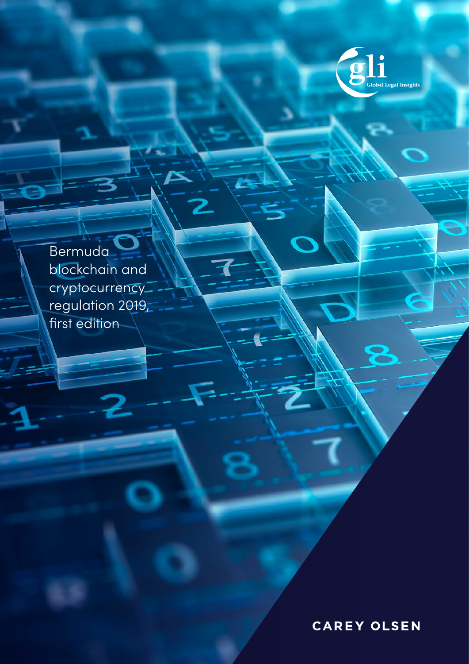

Bermuda blockchain and cryptocurrency regulation 2019, first edition

**CAREY OLSEN**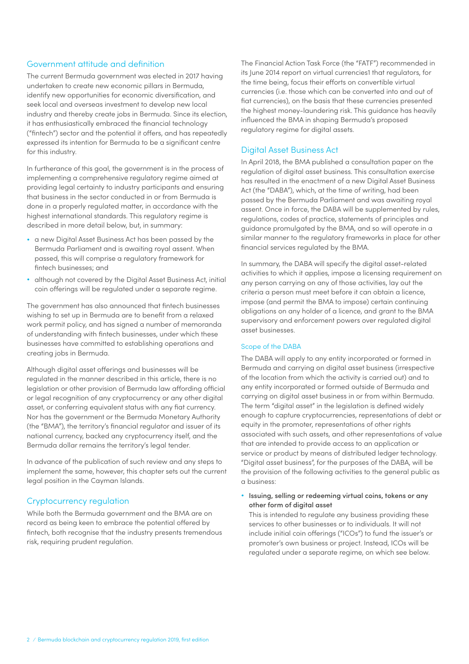### Government attitude and definition

The current Bermuda government was elected in 2017 having undertaken to create new economic pillars in Bermuda, identify new opportunities for economic diversification, and seek local and overseas investment to develop new local industry and thereby create jobs in Bermuda. Since its election, it has enthusiastically embraced the financial technology ("fintech") sector and the potential it offers, and has repeatedly expressed its intention for Bermuda to be a significant centre for this industry.

In furtherance of this goal, the government is in the process of implementing a comprehensive regulatory regime aimed at providing legal certainty to industry participants and ensuring that business in the sector conducted in or from Bermuda is done in a properly regulated matter, in accordance with the highest international standards. This regulatory regime is described in more detail below, but, in summary:

- a new Digital Asset Business Act has been passed by the Bermuda Parliament and is awaiting royal assent. When passed, this will comprise a regulatory framework for fintech businesses; and
- although not covered by the Digital Asset Business Act, initial coin offerings will be regulated under a separate regime.

The government has also announced that fintech businesses wishing to set up in Bermuda are to benefit from a relaxed work permit policy, and has signed a number of memoranda of understanding with fintech businesses, under which these businesses have committed to establishing operations and creating jobs in Bermuda.

Although digital asset offerings and businesses will be regulated in the manner described in this article, there is no legislation or other provision of Bermuda law affording official or legal recognition of any cryptocurrency or any other digital asset, or conferring equivalent status with any fiat currency. Nor has the government or the Bermuda Monetary Authority (the "BMA"), the territory's financial regulator and issuer of its national currency, backed any cryptocurrency itself, and the Bermuda dollar remains the territory's legal tender.

In advance of the publication of such review and any steps to implement the same, however, this chapter sets out the current legal position in the Cayman Islands.

### Cryptocurrency regulation

While both the Bermuda government and the BMA are on record as being keen to embrace the potential offered by fintech, both recognise that the industry presents tremendous risk, requiring prudent regulation.

The Financial Action Task Force (the "FATF") recommended in its June 2014 report on virtual currencies1 that regulators, for the time being, focus their efforts on convertible virtual currencies (i.e. those which can be converted into and out of fiat currencies), on the basis that these currencies presented the highest money-laundering risk. This guidance has heavily influenced the BMA in shaping Bermuda's proposed regulatory regime for digital assets.

### Digital Asset Business Act

In April 2018, the BMA published a consultation paper on the regulation of digital asset business. This consultation exercise has resulted in the enactment of a new Digital Asset Business Act (the "DABA"), which, at the time of writing, had been passed by the Bermuda Parliament and was awaiting royal assent. Once in force, the DABA will be supplemented by rules, regulations, codes of practice, statements of principles and guidance promulgated by the BMA, and so will operate in a similar manner to the regulatory frameworks in place for other financial services regulated by the BMA.

In summary, the DABA will specify the digital asset-related activities to which it applies, impose a licensing requirement on any person carrying on any of those activities, lay out the criteria a person must meet before it can obtain a licence, impose (and permit the BMA to impose) certain continuing obligations on any holder of a licence, and grant to the BMA supervisory and enforcement powers over regulated digital asset businesses.

#### Scope of the DABA

The DABA will apply to any entity incorporated or formed in Bermuda and carrying on digital asset business (irrespective of the location from which the activity is carried out) and to any entity incorporated or formed outside of Bermuda and carrying on digital asset business in or from within Bermuda. The term "digital asset" in the legislation is defined widely enough to capture cryptocurrencies, representations of debt or equity in the promoter, representations of other rights associated with such assets, and other representations of value that are intended to provide access to an application or service or product by means of distributed ledger technology. "Digital asset business", for the purposes of the DABA, will be the provision of the following activities to the general public as a business:

• Issuing, selling or redeeming virtual coins, tokens or any other form of digital asset

This is intended to regulate any business providing these services to other businesses or to individuals. It will not include initial coin offerings ("ICOs") to fund the issuer's or promoter's own business or project. Instead, ICOs will be regulated under a separate regime, on which see below.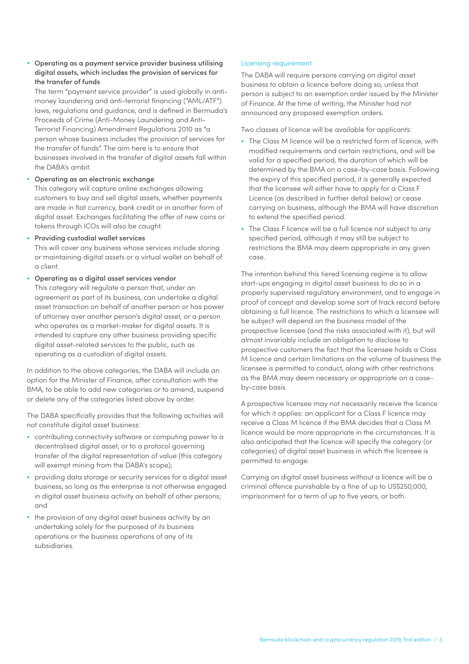### • Operating as a payment service provider business utilising digital assets, which includes the provision of services for the transfer of funds

The term "payment service provider" is used globally in antimoney laundering and anti-terrorist financing ("AML/ATF") laws, regulations and guidance, and is defined in Bermuda's Proceeds of Crime (Anti-Money Laundering and Anti-Terrorist Financing) Amendment Regulations 2010 as "a person whose business includes the provision of services for the transfer of funds". The aim here is to ensure that businesses involved in the transfer of digital assets fall within the DABA's ambit.

• Operating as an electronic exchange

This category will capture online exchanges allowing customers to buy and sell digital assets, whether payments are made in fiat currency, bank credit or in another form of digital asset. Exchanges facilitating the offer of new coins or tokens through ICOs will also be caught.

• Providing custodial wallet services

This will cover any business whose services include storing or maintaining digital assets or a virtual wallet on behalf of a client.

• Operating as a digital asset services vendor

This category will regulate a person that, under an agreement as part of its business, can undertake a digital asset transaction on behalf of another person or has power of attorney over another person's digital asset, or a person who operates as a market-maker for digital assets. It is intended to capture any other business providing specific digital asset-related services to the public, such as operating as a custodian of digital assets.

In addition to the above categories, the DABA will include an option for the Minister of Finance, after consultation with the BMA, to be able to add new categories or to amend, suspend or delete any of the categories listed above by order.

The DABA specifically provides that the following activities will not constitute digital asset business:

- contributing connectivity software or computing power to a decentralised digital asset, or to a protocol governing transfer of the digital representation of value (this category will exempt mining from the DABA's scope);
- providing data storage or security services for a digital asset business, so long as the enterprise is not otherwise engaged in digital asset business activity on behalf of other persons; and
- the provision of any digital asset business activity by an undertaking solely for the purposed of its business operations or the business operations of any of its subsidiaries.

### Licensing requirement

The DABA will require persons carrying on digital asset business to obtain a licence before doing so, unless that person is subject to an exemption order issued by the Minister of Finance. At the time of writing, the Minister had not announced any proposed exemption orders.

Two classes of licence will be available for applicants:

- The Class M licence will be a restricted form of licence, with modified requirements and certain restrictions, and will be valid for a specified period, the duration of which will be determined by the BMA on a case-by-case basis. Following the expiry of this specified period, it is generally expected that the licensee will either have to apply for a Class F Licence (as described in further detail below) or cease carrying on business, although the BMA will have discretion to extend the specified period.
- The Class F licence will be a full licence not subject to any specified period, although it may still be subject to restrictions the BMA may deem appropriate in any given case.

The intention behind this tiered licensing regime is to allow start-ups engaging in digital asset business to do so in a properly supervised regulatory environment, and to engage in proof of concept and develop some sort of track record before obtaining a full licence. The restrictions to which a licensee will be subject will depend on the business model of the prospective licensee (and the risks associated with it), but will almost invariably include an obligation to disclose to prospective customers the fact that the licensee holds a Class M licence and certain limitations on the volume of business the licensee is permitted to conduct, along with other restrictions as the BMA may deem necessary or appropriate on a caseby-case basis.

A prospective licensee may not necessarily receive the licence for which it applies: an applicant for a Class F licence may receive a Class M licence if the BMA decides that a Class M licence would be more appropriate in the circumstances. It is also anticipated that the licence will specify the category (or categories) of digital asset business in which the licensee is permitted to engage.

Carrying on digital asset business without a licence will be a criminal offence punishable by a fine of up to US\$250,000, imprisonment for a term of up to five years, or both.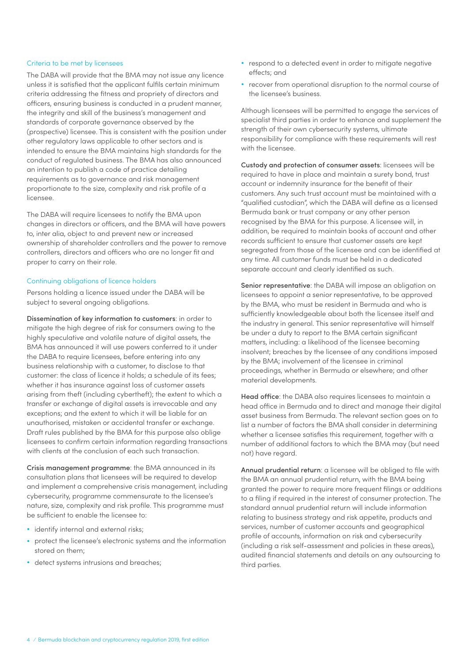#### Criteria to be met by licensees

The DABA will provide that the BMA may not issue any licence unless it is satisfied that the applicant fulfils certain minimum criteria addressing the fitness and propriety of directors and officers, ensuring business is conducted in a prudent manner, the integrity and skill of the business's management and standards of corporate governance observed by the (prospective) licensee. This is consistent with the position under other regulatory laws applicable to other sectors and is intended to ensure the BMA maintains high standards for the conduct of regulated business. The BMA has also announced an intention to publish a code of practice detailing requirements as to governance and risk management proportionate to the size, complexity and risk profile of a licensee.

The DABA will require licensees to notify the BMA upon changes in directors or officers, and the BMA will have powers to, inter alia, object to and prevent new or increased ownership of shareholder controllers and the power to remove controllers, directors and officers who are no longer fit and proper to carry on their role.

#### Continuing obligations of licence holders

Persons holding a licence issued under the DABA will be subject to several ongoing obligations.

Dissemination of key information to customers: in order to mitigate the high degree of risk for consumers owing to the highly speculative and volatile nature of digital assets, the BMA has announced it will use powers conferred to it under the DABA to require licensees, before entering into any business relationship with a customer, to disclose to that customer: the class of licence it holds; a schedule of its fees; whether it has insurance against loss of customer assets arising from theft (including cybertheft); the extent to which a transfer or exchange of digital assets is irrevocable and any exceptions; and the extent to which it will be liable for an unauthorised, mistaken or accidental transfer or exchange. Draft rules published by the BMA for this purpose also oblige licensees to confirm certain information regarding transactions with clients at the conclusion of each such transaction.

Crisis management programme: the BMA announced in its consultation plans that licensees will be required to develop and implement a comprehensive crisis management, including cybersecurity, programme commensurate to the licensee's nature, size, complexity and risk profile. This programme must be sufficient to enable the licensee to:

- identify internal and external risks;
- protect the licensee's electronic systems and the information stored on them;
- detect systems intrusions and breaches;
- respond to a detected event in order to mitigate negative effects; and
- recover from operational disruption to the normal course of the licensee's business.

Although licensees will be permitted to engage the services of specialist third parties in order to enhance and supplement the strength of their own cybersecurity systems, ultimate responsibility for compliance with these requirements will rest with the licensee.

Custody and protection of consumer assets: licensees will be required to have in place and maintain a surety bond, trust account or indemnity insurance for the benefit of their customers. Any such trust account must be maintained with a "qualified custodian", which the DABA will define as a licensed Bermuda bank or trust company or any other person recognised by the BMA for this purpose. A licensee will, in addition, be required to maintain books of account and other records sufficient to ensure that customer assets are kept segregated from those of the licensee and can be identified at any time. All customer funds must be held in a dedicated separate account and clearly identified as such.

Senior representative: the DABA will impose an obligation on licensees to appoint a senior representative, to be approved by the BMA, who must be resident in Bermuda and who is sufficiently knowledgeable about both the licensee itself and the industry in general. This senior representative will himself be under a duty to report to the BMA certain significant matters, including: a likelihood of the licensee becoming insolvent; breaches by the licensee of any conditions imposed by the BMA; involvement of the licensee in criminal proceedings, whether in Bermuda or elsewhere; and other material developments.

Head office: the DABA also requires licensees to maintain a head office in Bermuda and to direct and manage their digital asset business from Bermuda. The relevant section goes on to list a number of factors the BMA shall consider in determining whether a licensee satisfies this requirement, together with a number of additional factors to which the BMA may (but need not) have regard.

Annual prudential return: a licensee will be obliged to file with the BMA an annual prudential return, with the BMA being granted the power to require more frequent filings or additions to a filing if required in the interest of consumer protection. The standard annual prudential return will include information relating to business strategy and risk appetite, products and services, number of customer accounts and geographical profile of accounts, information on risk and cybersecurity (including a risk self-assessment and policies in these areas), audited financial statements and details on any outsourcing to third parties.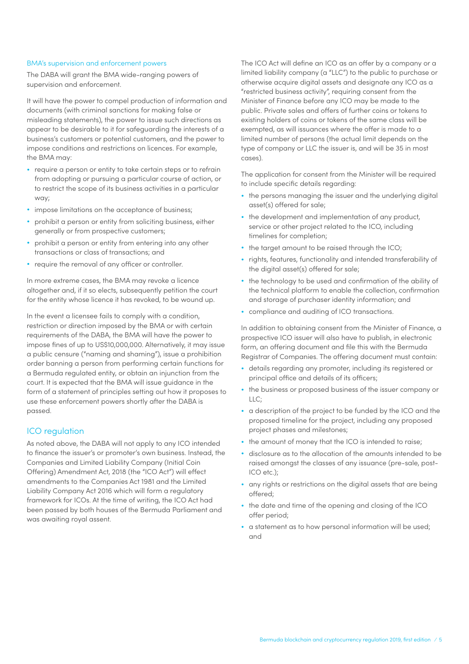#### BMA's supervision and enforcement powers

The DABA will grant the BMA wide-ranging powers of supervision and enforcement.

It will have the power to compel production of information and documents (with criminal sanctions for making false or misleading statements), the power to issue such directions as appear to be desirable to it for safeguarding the interests of a business's customers or potential customers, and the power to impose conditions and restrictions on licences. For example, the BMA may:

- require a person or entity to take certain steps or to refrain from adopting or pursuing a particular course of action, or to restrict the scope of its business activities in a particular way;
- impose limitations on the acceptance of business;
- prohibit a person or entity from soliciting business, either generally or from prospective customers;
- prohibit a person or entity from entering into any other transactions or class of transactions; and
- require the removal of any officer or controller.

In more extreme cases, the BMA may revoke a licence altogether and, if it so elects, subsequently petition the court for the entity whose licence it has revoked, to be wound up.

In the event a licensee fails to comply with a condition, restriction or direction imposed by the BMA or with certain requirements of the DABA, the BMA will have the power to impose fines of up to US\$10,000,000. Alternatively, it may issue a public censure ("naming and shaming"), issue a prohibition order banning a person from performing certain functions for a Bermuda regulated entity, or obtain an injunction from the court. It is expected that the BMA will issue guidance in the form of a statement of principles setting out how it proposes to use these enforcement powers shortly after the DABA is passed.

#### ICO regulation

As noted above, the DABA will not apply to any ICO intended to finance the issuer's or promoter's own business. Instead, the Companies and Limited Liability Company (Initial Coin Offering) Amendment Act, 2018 (the "ICO Act") will effect amendments to the Companies Act 1981 and the Limited Liability Company Act 2016 which will form a regulatory framework for ICOs. At the time of writing, the ICO Act had been passed by both houses of the Bermuda Parliament and was awaiting royal assent.

The ICO Act will define an ICO as an offer by a company or a limited liability company (a "LLC") to the public to purchase or otherwise acquire digital assets and designate any ICO as a "restricted business activity", requiring consent from the Minister of Finance before any ICO may be made to the public. Private sales and offers of further coins or tokens to existing holders of coins or tokens of the same class will be exempted, as will issuances where the offer is made to a limited number of persons (the actual limit depends on the type of company or LLC the issuer is, and will be 35 in most cases).

The application for consent from the Minister will be required to include specific details regarding:

- the persons managing the issuer and the underlying digital asset(s) offered for sale;
- the development and implementation of any product, service or other project related to the ICO, including timelines for completion;
- the target amount to be raised through the ICO;
- rights, features, functionality and intended transferability of the digital asset(s) offered for sale;
- the technology to be used and confirmation of the ability of the technical platform to enable the collection, confirmation and storage of purchaser identity information; and
- compliance and auditing of ICO transactions.

In addition to obtaining consent from the Minister of Finance, a prospective ICO issuer will also have to publish, in electronic form, an offering document and file this with the Bermuda Registrar of Companies. The offering document must contain:

- details regarding any promoter, including its registered or principal office and details of its officers;
- the business or proposed business of the issuer company or LLC;
- a description of the project to be funded by the ICO and the proposed timeline for the project, including any proposed project phases and milestones;
- the amount of money that the ICO is intended to raise;
- disclosure as to the allocation of the amounts intended to be raised amongst the classes of any issuance (pre-sale, post-ICO etc.);
- any rights or restrictions on the digital assets that are being offered;
- the date and time of the opening and closing of the ICO offer period;
- a statement as to how personal information will be used; and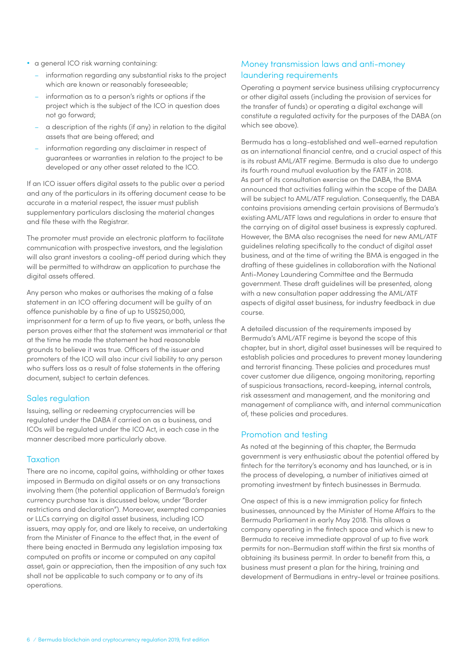- a general ICO risk warning containing:
	- information regarding any substantial risks to the project which are known or reasonably foreseeable;
	- information as to a person's rights or options if the project which is the subject of the ICO in question does not go forward;
	- a description of the rights (if any) in relation to the digital assets that are being offered; and
	- information regarding any disclaimer in respect of guarantees or warranties in relation to the project to be developed or any other asset related to the ICO.

If an ICO issuer offers digital assets to the public over a period and any of the particulars in its offering document cease to be accurate in a material respect, the issuer must publish supplementary particulars disclosing the material changes and file these with the Registrar.

The promoter must provide an electronic platform to facilitate communication with prospective investors, and the legislation will also grant investors a cooling-off period during which they will be permitted to withdraw an application to purchase the digital assets offered.

Any person who makes or authorises the making of a false statement in an ICO offering document will be guilty of an offence punishable by a fine of up to US\$250,000, imprisonment for a term of up to five years, or both, unless the person proves either that the statement was immaterial or that at the time he made the statement he had reasonable grounds to believe it was true. Officers of the issuer and promoters of the ICO will also incur civil liability to any person who suffers loss as a result of false statements in the offering document, subject to certain defences.

### Sales regulation

Issuing, selling or redeeming cryptocurrencies will be regulated under the DABA if carried on as a business, and ICOs will be regulated under the ICO Act, in each case in the manner described more particularly above.

### **Taxation**

There are no income, capital gains, withholding or other taxes imposed in Bermuda on digital assets or on any transactions involving them (the potential application of Bermuda's foreign currency purchase tax is discussed below, under "Border restrictions and declaration"). Moreover, exempted companies or LLCs carrying on digital asset business, including ICO issuers, may apply for, and are likely to receive, an undertaking from the Minister of Finance to the effect that, in the event of there being enacted in Bermuda any legislation imposing tax computed on profits or income or computed on any capital asset, gain or appreciation, then the imposition of any such tax shall not be applicable to such company or to any of its operations.

# Money transmission laws and anti-money laundering requirements

Operating a payment service business utilising cryptocurrency or other digital assets (including the provision of services for the transfer of funds) or operating a digital exchange will constitute a regulated activity for the purposes of the DABA (on which see above).

Bermuda has a long-established and well-earned reputation as an international financial centre, and a crucial aspect of this is its robust AML/ATF regime. Bermuda is also due to undergo its fourth round mutual evaluation by the FATF in 2018. As part of its consultation exercise on the DABA, the BMA announced that activities falling within the scope of the DABA will be subject to AML/ATF regulation. Consequently, the DABA contains provisions amending certain provisions of Bermuda's existing AML/ATF laws and regulations in order to ensure that the carrying on of digital asset business is expressly captured. However, the BMA also recognises the need for new AML/ATF guidelines relating specifically to the conduct of digital asset business, and at the time of writing the BMA is engaged in the drafting of these guidelines in collaboration with the National Anti-Money Laundering Committee and the Bermuda government. These draft guidelines will be presented, along with a new consultation paper addressing the AML/ATF aspects of digital asset business, for industry feedback in due course.

A detailed discussion of the requirements imposed by Bermuda's AML/ATF regime is beyond the scope of this chapter, but in short, digital asset businesses will be required to establish policies and procedures to prevent money laundering and terrorist financing. These policies and procedures must cover customer due diligence, ongoing monitoring, reporting of suspicious transactions, record-keeping, internal controls, risk assessment and management, and the monitoring and management of compliance with, and internal communication of, these policies and procedures.

# Promotion and testing

As noted at the beginning of this chapter, the Bermuda government is very enthusiastic about the potential offered by fintech for the territory's economy and has launched, or is in the process of developing, a number of initiatives aimed at promoting investment by fintech businesses in Bermuda.

One aspect of this is a new immigration policy for fintech businesses, announced by the Minister of Home Affairs to the Bermuda Parliament in early May 2018. This allows a company operating in the fintech space and which is new to Bermuda to receive immediate approval of up to five work permits for non-Bermudian staff within the first six months of obtaining its business permit. In order to benefit from this, a business must present a plan for the hiring, training and development of Bermudians in entry-level or trainee positions.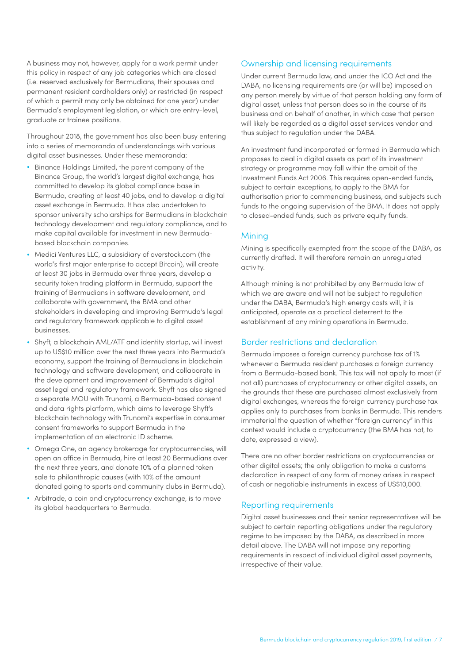A business may not, however, apply for a work permit under this policy in respect of any job categories which are closed (i.e. reserved exclusively for Bermudians, their spouses and permanent resident cardholders only) or restricted (in respect of which a permit may only be obtained for one year) under Bermuda's employment legislation, or which are entry-level, graduate or trainee positions.

Throughout 2018, the government has also been busy entering into a series of memoranda of understandings with various digital asset businesses. Under these memoranda:

- Binance Holdings Limited, the parent company of the Binance Group, the world's largest digital exchange, has committed to develop its global compliance base in Bermuda, creating at least 40 jobs, and to develop a digital asset exchange in Bermuda. It has also undertaken to sponsor university scholarships for Bermudians in blockchain technology development and regulatory compliance, and to make capital available for investment in new Bermudabased blockchain companies.
- Medici Ventures LLC, a subsidiary of overstock.com (the world's first major enterprise to accept Bitcoin), will create at least 30 jobs in Bermuda over three years, develop a security token trading platform in Bermuda, support the training of Bermudians in software development, and collaborate with government, the BMA and other stakeholders in developing and improving Bermuda's legal and regulatory framework applicable to digital asset businesses.
- Shyft, a blockchain AML/ATF and identity startup, will invest up to US\$10 million over the next three years into Bermuda's economy, support the training of Bermudians in blockchain technology and software development, and collaborate in the development and improvement of Bermuda's digital asset legal and regulatory framework. Shyft has also signed a separate MOU with Trunomi, a Bermuda-based consent and data rights platform, which aims to leverage Shyft's blockchain technology with Trunomi's expertise in consumer consent frameworks to support Bermuda in the implementation of an electronic ID scheme.
- Omega One, an agency brokerage for cryptocurrencies, will open an office in Bermuda, hire at least 20 Bermudians over the next three years, and donate 10% of a planned token sale to philanthropic causes (with 10% of the amount donated going to sports and community clubs in Bermuda).
- Arbitrade, a coin and cryptocurrency exchange, is to move its global headquarters to Bermuda.

# Ownership and licensing requirements

Under current Bermuda law, and under the ICO Act and the DABA, no licensing requirements are (or will be) imposed on any person merely by virtue of that person holding any form of digital asset, unless that person does so in the course of its business and on behalf of another, in which case that person will likely be regarded as a digital asset services vendor and thus subject to regulation under the DABA.

An investment fund incorporated or formed in Bermuda which proposes to deal in digital assets as part of its investment strategy or programme may fall within the ambit of the Investment Funds Act 2006. This requires open-ended funds, subject to certain exceptions, to apply to the BMA for authorisation prior to commencing business, and subjects such funds to the ongoing supervision of the BMA. It does not apply to closed-ended funds, such as private equity funds.

### **Mining**

Mining is specifically exempted from the scope of the DABA, as currently drafted. It will therefore remain an unregulated activity.

Although mining is not prohibited by any Bermuda law of which we are aware and will not be subject to regulation under the DABA, Bermuda's high energy costs will, it is anticipated, operate as a practical deterrent to the establishment of any mining operations in Bermuda.

# Border restrictions and declaration

Bermuda imposes a foreign currency purchase tax of 1% whenever a Bermuda resident purchases a foreign currency from a Bermuda-based bank. This tax will not apply to most (if not all) purchases of cryptocurrency or other digital assets, on the grounds that these are purchased almost exclusively from digital exchanges, whereas the foreign currency purchase tax applies only to purchases from banks in Bermuda. This renders immaterial the question of whether "foreign currency" in this context would include a cryptocurrency (the BMA has not, to date, expressed a view).

There are no other border restrictions on cryptocurrencies or other digital assets; the only obligation to make a customs declaration in respect of any form of money arises in respect of cash or negotiable instruments in excess of US\$10,000.

### Reporting requirements

Digital asset businesses and their senior representatives will be subject to certain reporting obligations under the regulatory regime to be imposed by the DABA, as described in more detail above. The DABA will not impose any reporting requirements in respect of individual digital asset payments, irrespective of their value.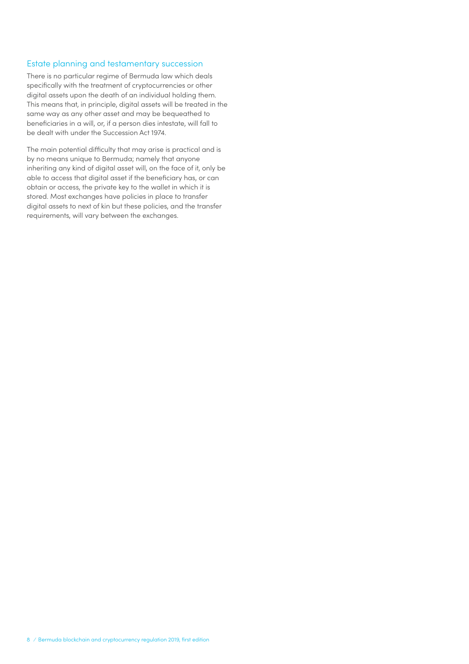### Estate planning and testamentary succession

There is no particular regime of Bermuda law which deals specifically with the treatment of cryptocurrencies or other digital assets upon the death of an individual holding them. This means that, in principle, digital assets will be treated in the same way as any other asset and may be bequeathed to beneficiaries in a will, or, if a person dies intestate, will fall to be dealt with under the Succession Act 1974.

The main potential difficulty that may arise is practical and is by no means unique to Bermuda; namely that anyone inheriting any kind of digital asset will, on the face of it, only be able to access that digital asset if the beneficiary has, or can obtain or access, the private key to the wallet in which it is stored. Most exchanges have policies in place to transfer digital assets to next of kin but these policies, and the transfer requirements, will vary between the exchanges.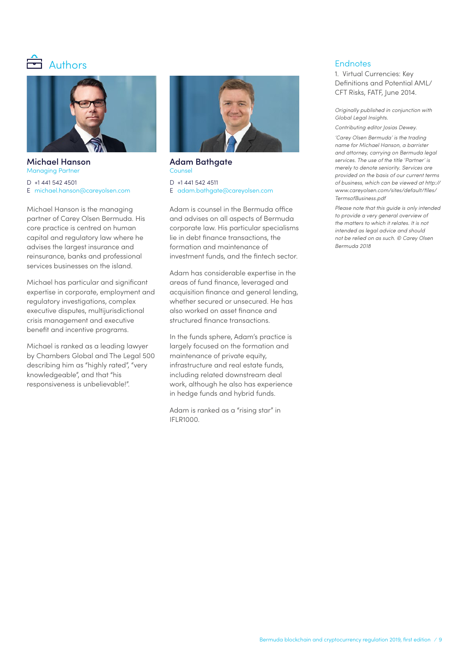



Michael Hanson Managing Partner

D +1 441 542 4501 E [michael.hanson@careyolsen.com](mailto:michael.hanson%40careyolsen.com?subject=)

Michael Hanson is the managing partner of Carey Olsen Bermuda. His core practice is centred on human capital and regulatory law where he advises the largest insurance and reinsurance, banks and professional services businesses on the island.

Michael has particular and significant expertise in corporate, employment and regulatory investigations, complex executive disputes, multijurisdictional crisis management and executive benefit and incentive programs.

Michael is ranked as a leading lawyer by Chambers Global and The Legal 500 describing him as "highly rated", "very knowledgeable", and that "his responsiveness is unbelievable!".



Adam Bathgate **Counsel** D +1 441 542 4511 E [adam.bathgate@careyolsen.com](mailto:adam.bathgate%40careyolsen.com?subject=)

Adam is counsel in the Bermuda office and advises on all aspects of Bermuda corporate law. His particular specialisms lie in debt finance transactions, the formation and maintenance of investment funds, and the fintech sector.

Adam has considerable expertise in the areas of fund finance, leveraged and acquisition finance and general lending, whether secured or unsecured. He has also worked on asset finance and structured finance transactions.

In the funds sphere, Adam's practice is largely focused on the formation and maintenance of private equity, infrastructure and real estate funds, including related downstream deal work, although he also has experience in hedge funds and hybrid funds.

Adam is ranked as a "rising star" in IFLR1000.

### **Endnotes**

1. Virtual Currencies: Key Definitions and Potential AML/ CFT Risks, FATF, June 2014.

*Originally published in conjunction with Global Legal Insights.*

*Contributing editor Josias Dewey.* 

*'Carey Olsen Bermuda' is the trading name for Michael Hanson, a barrister and attorney, carrying on Bermuda legal services. The use of the title 'Partner' is merely to denote seniority. Services are provided on the basis of our current terms of business, which can be viewed at http:// www.careyolsen.com/sites/default/files/ TermsofBusiness.pdf*

*Please note that this guide is only intended to provide a very general overview of the matters to which it relates. It is not intended as legal advice and should not be relied on as such. © Carey Olsen Bermuda 2018*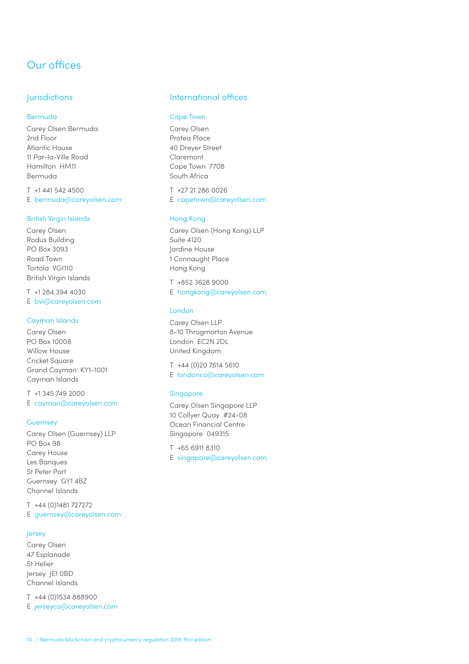# Our offices

### Jurisdictions

#### Bermuda

Carey Olsen Bermuda 2nd Floor Atlantic House 11 Par-la-Ville Road Hamilton HM11 Bermuda

T +1 441 542 4500 E bermud[a@careyolsen.com](mailto:bermuda%40careyolsen.com?subject=)

#### British Virgin Islands

Carey Olsen Rodus Building PO Box 3093 Road Town Tortola VG1110 British Virgin Islands

T +1 284 394 4030 E [bvi@careyolsen.com](mailto:bvi%40careyolsen.com?subject=)

#### Cayman Islands

Carey Olsen PO Box 10008 Willow House Cricket Square Grand Cayman KY1-1001 Cayman Islands

T +1 345 749 2000 E [cayman@careyolsen.com](mailto:cayman%40careyolsen.com?subject=)

#### **Guernsey**

Carey Olsen (Guernsey) LLP PO Box 98 Carey House Les Banques St Peter Port Guernsey GY1 4BZ Channel Islands

T +44 (0)1481 727272 E [guernsey@careyolsen.com](mailto:guernsey%40careyolsen.com?subject=)

#### Jersey

Carey Olsen 47 Esplanade St Helier Jersey JE1 0BD Channel Islands

T +44 (0)1534 888900

E [jerseyco@careyolsen.com](mailto:jerseyco%40careyolsen.com?subject=)

#### International offices

#### Cape Town

Carey Olsen Protea Place 40 Dreyer Street Claremont Cape Town 7708 South Africa

T +27 21 286 0026 E [capetown@careyolsen.com](mailto:capetown%40careyolsen.com?subject=)

### Hong Kong

Carey Olsen (Hong Kong) LLP Suite 4120 Jardine House 1 Connaught Place Hong Kong

T +852 3628 9000 E [hongkong@careyolsen.com](mailto:hongkong%40careyolsen.com?subject=)

#### London

Carey Olsen LLP 8-10 Throgmorton Avenue London EC2N 2DL United Kingdom

T +44 (0)20 7614 5610 E [londonco@careyolsen.com](mailto:londonco%40careyolsen.com?subject=)

#### Singapore

Carey Olsen Singapore LLP 10 Collyer Quay #24-08 Ocean Financial Centre Singapore 049315

T +65 6911 8310 E [singapore@careyolsen.com](mailto:singapore%40careyolsen.com?subject=)